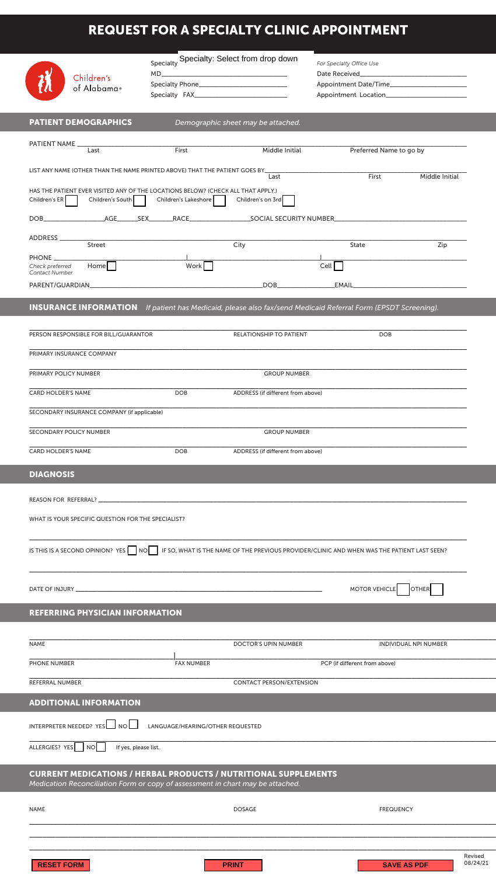## REQUEST FOR A SPECIALTY CLINIC APPOINTMENT

|                                                                                                                                                          | Specialty Specialty: Select from drop down<br>$MD$ |                                    | For Specialty Office Use      |                                           |
|----------------------------------------------------------------------------------------------------------------------------------------------------------|----------------------------------------------------|------------------------------------|-------------------------------|-------------------------------------------|
| Children's<br>of Alabama®                                                                                                                                |                                                    |                                    |                               |                                           |
|                                                                                                                                                          |                                                    |                                    |                               |                                           |
| <b>PATIENT DEMOGRAPHICS</b>                                                                                                                              |                                                    | Demographic sheet may be attached. |                               |                                           |
| Last                                                                                                                                                     | First                                              | Middle Initial                     | Preferred Name to go by       |                                           |
| LIST ANY NAME (OTHER THAN THE NAME PRINTED ABOVE) THAT THE PATIENT GOES BY_                                                                              |                                                    |                                    | First                         |                                           |
| HAS THE PATIENT EVER VISITED ANY OF THE LOCATIONS BELOW? (CHECK ALL THAT APPLY.)                                                                         |                                                    | Last                               |                               | Middle Initial                            |
| Children's South<br>Children's ER                                                                                                                        | Children's Lakeshore                               | Children's on 3rd                  |                               |                                           |
|                                                                                                                                                          |                                                    |                                    |                               |                                           |
| ADDRESS<br>Street                                                                                                                                        |                                                    | City                               | State                         | Zip                                       |
| PHONE ______<br>$Home \Box$<br>Check preferred<br>Contact Number                                                                                         | Work <sup>1</sup>                                  |                                    | Cell                          |                                           |
|                                                                                                                                                          |                                                    |                                    |                               |                                           |
| <b>INSURANCE INFORMATION</b> If patient has Medicaid, please also fax/send Medicaid Referral Form (EPSDT Screening).                                     |                                                    |                                    |                               |                                           |
| PERSON RESPONSIBLE FOR BILL/GUARANTOR                                                                                                                    |                                                    | RELATIONSHIP TO PATIENT            | <b>DOB</b>                    |                                           |
| PRIMARY INSURANCE COMPANY                                                                                                                                |                                                    |                                    |                               |                                           |
| PRIMARY POLICY NUMBER                                                                                                                                    |                                                    | <b>GROUP NUMBER</b>                |                               |                                           |
| <b>CARD HOLDER'S NAME</b>                                                                                                                                | <b>DOB</b>                                         | ADDRESS (if different from above)  |                               |                                           |
| SECONDARY INSURANCE COMPANY (if applicable)                                                                                                              |                                                    |                                    |                               |                                           |
| <b>SECONDARY POLICY NUMBER</b>                                                                                                                           |                                                    | <b>GROUP NUMBER</b>                |                               |                                           |
| <b>CARD HOLDER'S NAME</b>                                                                                                                                | <b>DOB</b>                                         | ADDRESS (if different from above)  |                               |                                           |
| <b>DIAGNOSIS</b>                                                                                                                                         |                                                    |                                    |                               |                                           |
|                                                                                                                                                          |                                                    |                                    |                               |                                           |
| WHAT IS YOUR SPECIFIC QUESTION FOR THE SPECIALIST?                                                                                                       |                                                    |                                    |                               |                                           |
|                                                                                                                                                          |                                                    |                                    |                               |                                           |
| IS THIS IS A SECOND OPINION? YES NO I IF SO, WHAT IS THE NAME OF THE PREVIOUS PROVIDER/CLINIC AND WHEN WAS THE PATIENT LAST SEEN?                        |                                                    |                                    |                               |                                           |
|                                                                                                                                                          |                                                    |                                    |                               |                                           |
|                                                                                                                                                          |                                                    |                                    | <b>MOTOR VEHICLE</b>          | <b>OTHER</b>                              |
| <b>REFERRING PHYSICIAN INFORMATION</b>                                                                                                                   |                                                    |                                    |                               |                                           |
| <b>NAME</b>                                                                                                                                              |                                                    | <b>DOCTOR'S UPIN NUMBER</b>        |                               | <b>INDIVIDUAL NPI NUMBER</b>              |
| PHONE NUMBER                                                                                                                                             | <b>FAX NUMBER</b>                                  |                                    | PCP (if different from above) |                                           |
| REFERRAL NUMBER                                                                                                                                          |                                                    | <b>CONTACT PERSON/EXTENSION</b>    |                               |                                           |
| <b>ADDITIONAL INFORMATION</b>                                                                                                                            |                                                    |                                    |                               |                                           |
| INTERPRETER NEEDED? $YesL$ NO $L$                                                                                                                        | LANGUAGE/HEARING/OTHER REQUESTED                   |                                    |                               |                                           |
|                                                                                                                                                          |                                                    |                                    |                               |                                           |
| ALLERGIES? YES NO<br>If yes, please list.                                                                                                                |                                                    |                                    |                               |                                           |
| <b>CURRENT MEDICATIONS / HERBAL PRODUCTS / NUTRITIONAL SUPPLEMENTS</b><br>Medication Reconciliation Form or copy of assessment in chart may be attached. |                                                    |                                    |                               |                                           |
|                                                                                                                                                          |                                                    |                                    |                               |                                           |
| <b>NAME</b>                                                                                                                                              |                                                    | <b>DOSAGE</b>                      | <b>FREQUENCY</b>              |                                           |
|                                                                                                                                                          |                                                    |                                    |                               |                                           |
| <b>RESET FORM</b>                                                                                                                                        |                                                    | <b>PRINT</b>                       |                               | Revised<br>08/24/21<br><b>SAVE AS PDF</b> |